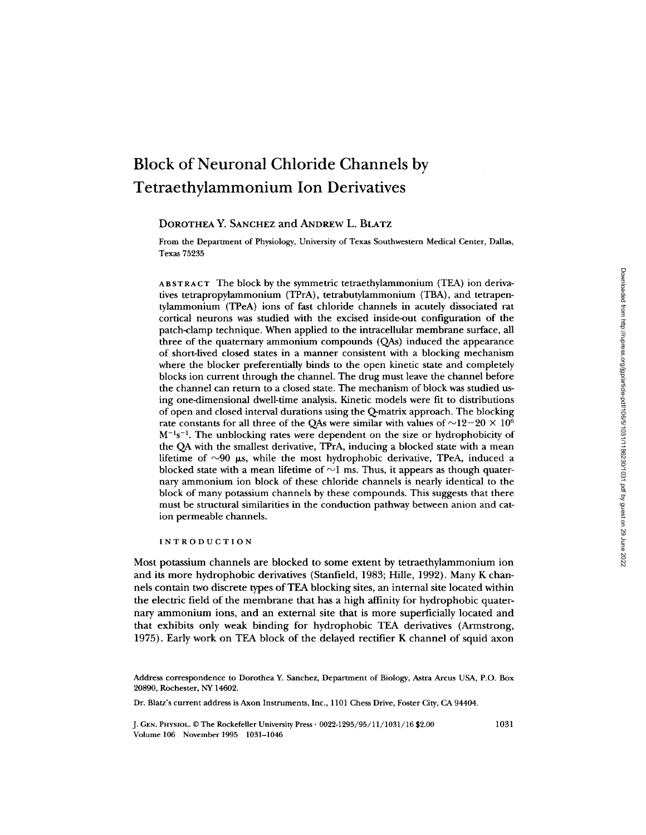# **Block of Neuronal Chloride Channels by Tetraethylammonium Ion Derivatives**

# DOROTHEA Y. SANCHEZ and ANDREW L. BLATZ

From the Department of Physiology, University of Texas Southwestern Medical Center, Dallas, Texas 75235

ABSTRACT The block by the symmetric tetraethylammonium (TEA) ion derivatives tetrapropylammonium (TPrA), tetrabutylammonium (TBA), and tetrapentylammonium (TPeA) ions of fast chloride channels in acutely dissociated rat cortical neurons was studied with the excised inside-out configuration of the patch-clamp technique. When applied to the intracellular membrane surface, all three of the quatemary ammonium compounds (QAs) induced the appearance of short-lived closed states in a manner consistent with a blocking mechanism where the blocker preferentially binds to the open kinetic state and completely blocks ion current through the channel. The drug must leave the channel before the channel can return to a closed state. The mechanism of block was studied using one-dimensional dwell-time analysis. Kinetic models were fit to distributions of open and closed interval durations using the Q-matrix approach. The blocking rate constants for all three of the QAs were similar with values of  $\sim$ 12-20  $\times$  10<sup>6</sup>  $M^{-1}s^{-1}$ . The unblocking rates were dependent on the size or hydrophobicity of the QA with the smallest derivative, TPrA, inducing a blocked state with a mean lifetime of  $\sim 90$   $\mu$ s, while the most hydrophobic derivative, TPeA, induced a blocked state with a mean lifetime of  $\sim$ 1 ms. Thus, it appears as though quaternary ammonium ion block of these chloride channels is nearly identical to the block of many potassium channels by these compounds. This suggests that there must be structural similarities in the conduction pathway between anion and cation permeable channels.

INTRODUCTION

Most potassium channels are blocked to some extent by tetraethylammonium ion and its more hydrophobic derivatives (Stanfield, 1983; Hille, 1992). Many K channels contain two discrete types of TEA blocking sites, an internal site located within the electric field of the membrane that has a high affinity for hydrophobic quaternary ammonium ions, and an external site that is more superficially located and that exhibits only weak binding for hydrophobic TEA derivatives (Armstrong, 1975). Early work on TEA block of the delayed rectifier K channel of squid axon

Dr. Blatz's current address is Axon Instruments, Inc., 1101 Chess Drive, Foster City, CA 04404.

**J. GEN. PHYSIOL.** 9 The Rockefeller University Press 9 0022-1295/95/11/1031/16 \$2.00 1031 Volume 106 November 1995 1031-1046

Address correspondence to Dorothea Y. Sanchez, Department of Biology, Astra Arcus USA, P.O. Box 20890, Rochester, NY 14602.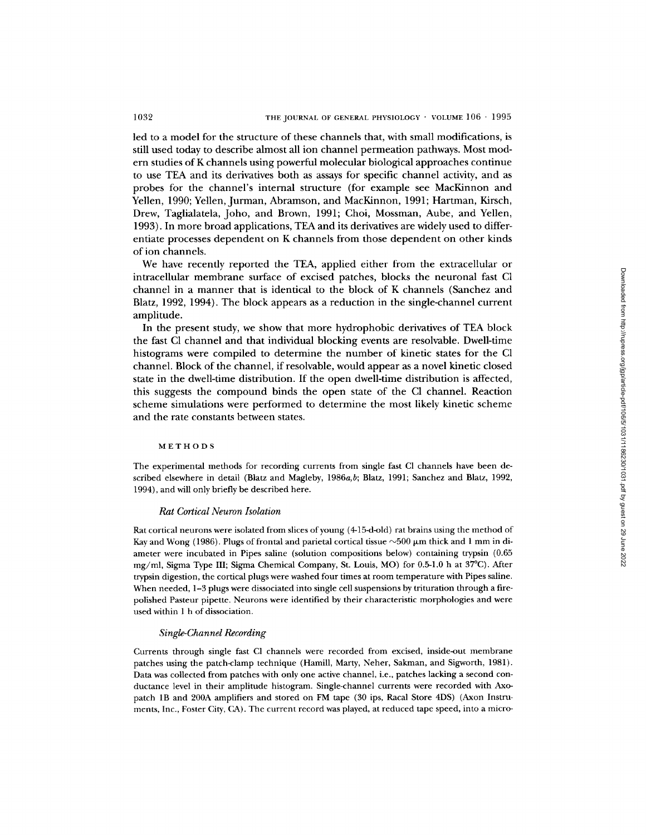led to a model for the structure of these channels that, with small modifications, is still used today to describe almost all ion channel permeation pathways. Most modern studies of K channels using powerful molecular biological approaches continue to use TEA and its derivatives both as assays for specific channel activity, and as probes for the channel's internal structure (for example see MacKinnon and Yellen, 1990; Yellen, Jurman, Abramson, and MacKinnon, 1991; Hartman, Kirsch, Drew, Taglialatela, Joho, and Brown, 1991; Choi, Mossman, Aube, and Yellen, 1993). In more broad applications, TEA and its derivatives are widely used to differentiate processes dependent on K channels from those dependent on other kinds of ion channels.

We have recently reported the TEA, applied either from the extracellular or intracellular membrane surface of excised patches, blocks the neuronal fast C1 channel in a manner that is identical to the block of K channels (Sanchez and Blatz, 1992, 1994). The block appears as a reduction in the single-channel current amplitude.

In the present study, we show that more hydrophobic derivatives of TEA block the fast C1 channel and that individual blocking events are resolvable. Dwell-time histograms were compiled to determine the number of kinetic states for the C1 channel. Block of the channel, if resolvable, would appear as a novel kinetic closed state in the dwell-time distribution. If the open dwell-time distribution is affected, this suggests the compound binds the open state of the C1 channel. Reaction scheme simulations were performed to determine the most likely kinetic scheme and the rate constants between states.

#### METHODS

The experimental methods for recording currents from single fast CI channels have been described elsewhere in detail (Blatz and Magleby, 1986a,b; Blatz, 1991; Sanchez and Blatz, 1992, 1994), and will only briefly be described here.

#### *Rat Cortical Neuron Isolation*

Rat cortical neurons were isolated from slices of young (4-15-d-old) rat brains using the method of Kay and Wong (1986). Plugs of frontal and parietal cortical tissue  $\sim$ 500  $\mu$ m thick and 1 mm in diameter were incubated in Pipes saline (solution compositions below) containing trypsin (0.65 mg/ml, Sigma Type III; Sigma Chemical Company, St. Louis, MO) for  $0.5-1.0$  h at  $37^{\circ}$ C). After trypsin digestion, the cortical plugs were washed four times at room temperature with Pipes saline. When needed, 1-3 plugs were dissociated into single cell suspensions by trituration through a firepolished Pasteur pipette. Neurons were identified by their characteristic morphologies and were used within 1 h of dissociation.

### *Single-Channel Recording*

Currents through single fast C1 channels were recorded from excised, inside-out membrane patches using the patch-clamp technique (Hamill, Marty, Neher, Sakman, and Sigworth, 1981). Data was collected from patches with only one active channel, i.e., patches lacking a second conductance level in their amplitude histogram. Single-channel currents were recorded with Axopatch 1B and 200A amplifiers and stored on FM tape (30 ips, Racal Store 4DS) (Axon Instruments, Inc., Foster City, CA). The current record was played, at reduced tape speed, into a micro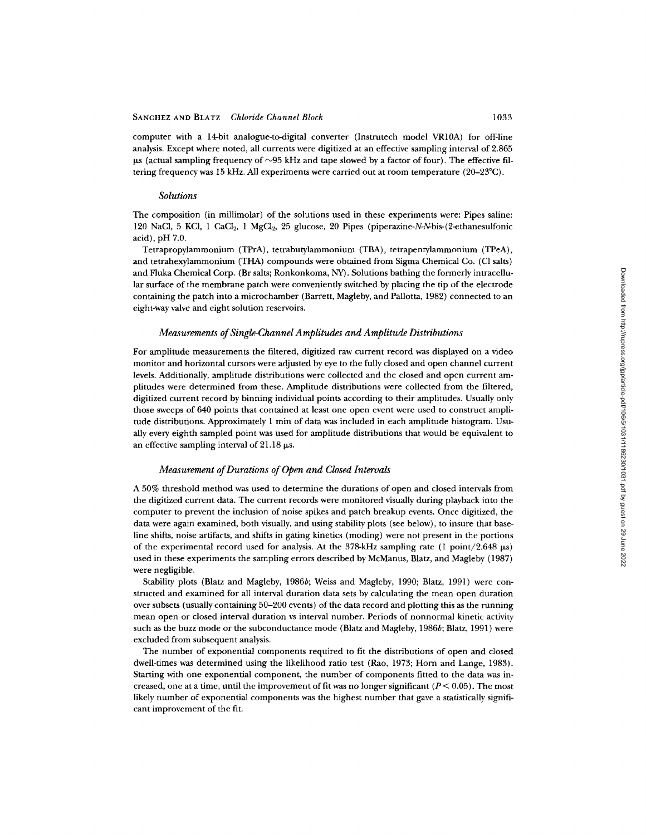computer with a 14-bit analogue-to-digital converter (Instrutech model VR10A) for off-line analysis. Except where noted, all currents were digitized at an effective sampling interval of 2.865  $\mu$ s (actual sampling frequency of  $\sim$ 95 kHz and tape slowed by a factor of four). The effective filtering frequency was 15 kHz. All experiments were carried out at room temperature  $(20-23^{\circ}C)$ .

#### *Solutions*

The composition (in millimolar) of the solutions used in these experiments were: Pipes saline: 120 NaCI, 5 KC1, 1 CaC12, 1 MgClz, 25 glucose, 20 Pipes (piperazine-N-N-bis-(2-ethanesulfonic acid), pH 7.0.

Tetrapropylammonium (TPrA), tetrabutylammonium (TBA), tetrapentylammonium (TPeA), and tetrahexylammonium (THA) compounds were obtained from Sigma Chemical Co. (C1 salts) and Fluka Chemical Corp. (Br salts; Ronkonkoma, NY). Solutions bathing the formerly intracellular surface of the membrane patch were conveniently switched by placing the tip of the electrode containing the patch into a microchamber (Barrett, Magleby, and Pallotta, 1982) connected to an eight-way valve and eight solution reservoirs.

#### *Measurements of Single-Channel Amplitudes and Amplitude Distributions*

For amplitude measurements the filtered, digitized raw current record was displayed on a video monitor and horizontal cursors were adjusted by eye to the fully closed and open channel current levels. Additionally, amplitude distributions were collected and the closed and open current amplitudes were determined from these. Amplitude distributions were collected from the filtered, digitized current record by binning individual points according to their amplitudes. Usually only those sweeps of 640 points that contained at least one open event were used to construct amplitude distributions. Approximately 1 min of data was included in each amplitude histogram. Usually every eighth sampled point was used for amplitude distributions that would be equivalent to an effective sampling interval of  $21.18 \mu s$ .

### *Measurement of Durations of Open and Closed Intervals*

A 50% threshold method was used to determine the durations of open and closed intervals from the digitized current data. The current records were monitored visually during playback into the computer to prevent the inclusion of noise spikes and patch breakup events. Once digitized, the data were again examined, both visually, and using stability plots (see below), to insure that baseline shifts, noise artifacts, and shifts in gating kinetics (moding) were not present in the portions of the experimental record used for analysis. At the 378-kHz sampling rate (1 point/2.648  $\mu s$ ) used in these experiments the sampling errors described by McManus, Blatz, and Magleby (1987) were negligible.

Stability plots (Blatz and Magleby, 1986b; Weiss and Magleby, 1990; Blatz, 1991) were constructed and examined for all interval duration data sets by calculating the mean open duration over subsets (usually containing 50-200 events) of the data record and plotting this as the running mean open or closed interval duration vs interval number. Periods of nonnormal kinetic activity such as the buzz mode or the subconductance mode (Blatz and Magleby, 1986b; Blatz, 1991) were excluded from subsequent analysis.

The number of exponential components required to fit the distributions of open and closed dwell-times was determined using the likelihood ratio test (Rao, 1973; Horn and Lange, 1983). Starting with one exponential component, the number of components fitted to the data was increased, one at a time, until the improvement of fit was no longer significant  $(P < 0.05)$ . The most likely number of exponential components was the highest number that gave a statistically significant improvement of the fit.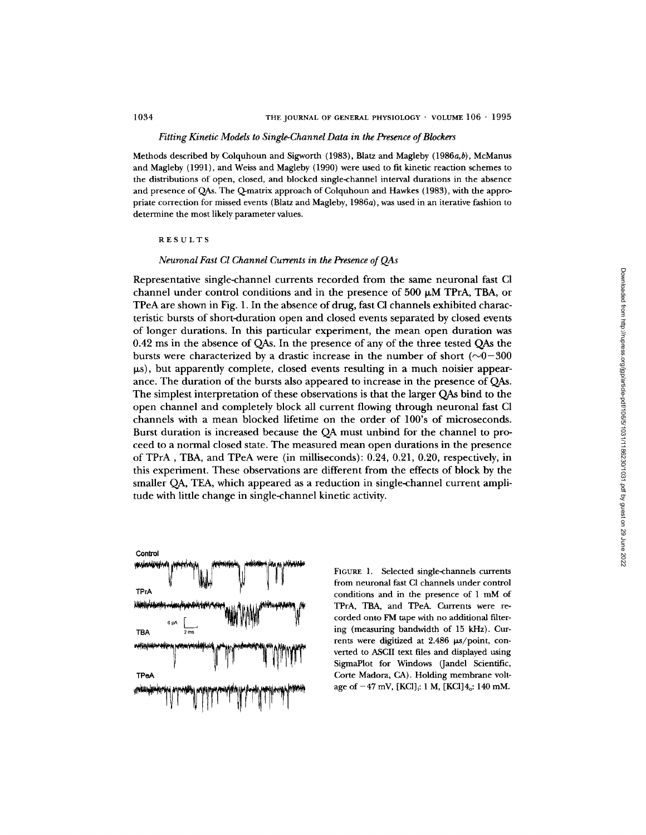## *Fitting Kinetic Models to Single-Channel Data in the Presence of Blockers*

Methods described by Colquhoun and Sigworth (1983), Blatz and Magleby (1986a,b), McManus and Magleby (1991), and Weiss and Magleby (1990) were used to fit kinetic reaction schemes to the distributions of open, closed, and blocked single-channel interval durations in the absence and presence of QAs. The Q-matrix approach of Colquhoun and Hawkes (1983), with the appropriate correction for missed events (Blatz and Magleby, 1986a), was used in an iterative fashion to determine the most likely parameter values.

RESULTS

# *Neuronal Fast C1 Channel Currents in the Presence of QAs*

Representative single-channel currents recorded from the same neuronal fast C1 channel under control conditions and in the presence of 500  $\mu$ M TPrA, TBA, or TPeA are shown in Fig. 1. In the absence of drug, fast C1 channels exhibited characteristic bursts of short-duration open and closed events separated by closed events of longer durations. In this particular experiment, the mean open duration was 0.42 ms in the absence of QAs. In the presence of any of the three tested QAs the bursts were characterized by a drastic increase in the number of short ( $\sim 0-300$ )  $\mu$ s), but apparently complete, closed events resulting in a much noisier appearance. The duration of the bursts also appeared to increase in the presence of QAs. The simplest interpretation of these observations is that the larger QAs bind to the open channel and completely block all current flowing through neuronal fast C1 channels with a mean blocked lifetime on the order of 100's of microseconds. Burst duration is increased because the QA must unbind for the channel to proceed to a normal closed state. The measured mean open durations in the presence of TPrA, TBA, and TPeA were (in milliseconds): 0.24, 0.21, 0.20, respectively, in this experiment. These observations are different from the effects of block by the smaller QA, TEA, which appeared as a reduction in single-channel current amplitude with little change in single-channel kinetic activity.



FIGURE 1. Selected single-channels currents from neuronal fast CI channels under control conditions and in the presence of 1 mM of TPrA, TBA, and TPeA. Currents were recorded onto FM tape with no additional filtering (measuring bandwidth of 15 kHz). Currents were digitized at  $2.486 \mu s$ /point, converted to ASCII text files and displayed using SigmaPlot for Windows (Jandel Scientific, Corte Madora, CA). Holding membrane voltage of  $-47$  mV,  $[KCl]_i: 1 M$ ,  $[KCl]_i: 140$  mM.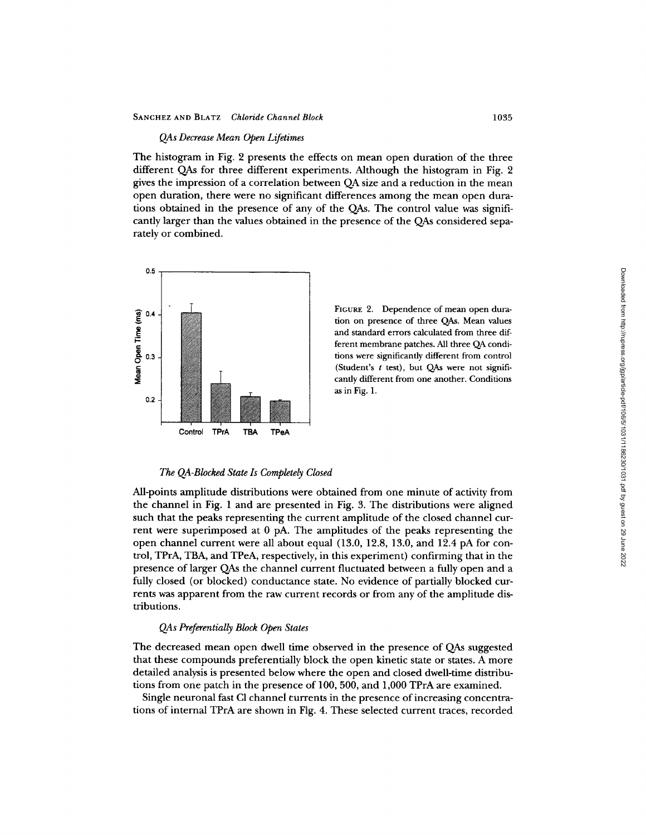# *QAs Decrease Mean Open Lifetimes*

The histogram in Fig. 2 presents the effects on mean open duration of the three different QAs for three different experiments. Although the histogram in Fig. 2 gives the impression of a correlation between QA size and a reduction in the mean open duration, there were no significant differences among the mean open durations obtained in the presence of any of the QAs. The control value was significandy larger than the values obtained in the presence of the QAs considered separately or combined.



FIGURE 2. Dependence of mean open duration on presence of three QAs. Mean values and standard errors calculated from three different membrane patches. All three QA conditions were significantly different from control (Student's  $t$  test), but QAs were not significandy different from one another. Conditions as in Fig. 1.

## *The QA-Blocked State Is Completely Closed*

All-points amplitude distributions were obtained from one minute of activity from the channel in Fig. 1 and are presented in Fig. 3. The distributions were aligned such that the peaks representing the current amplitude of the closed channel current were superimposed at 0 pA. The amplitudes of the peaks representing the open channel current were all about equal (13.0, 12.8, 13.0, and 12.4 pA for control, TPrA, TBA, and TPeA, respectively, in this experiment) confirming that in the presence of larger QAs the channel current fluctuated between a fully open and a fully closed (or blocked) conductance state. No evidence of partially blocked currents was apparent from the raw current records or from any of the amplitude distributions.

# *QAs Preferentially Block Open States*

The decreased mean open dwell time observed in the presence of QAs suggested that these compounds preferentially block the open kinetic state or states. A more detailed analysis is presented below where the open and closed dwell-time distributions from one patch in the presence of 100, 500, and 1,000 TPrA are examined.

Single neuronal fast C1 channel currents in the presence of increasing concentrations of internal TPrA are shown in Fig. 4. These selected current traces, recorded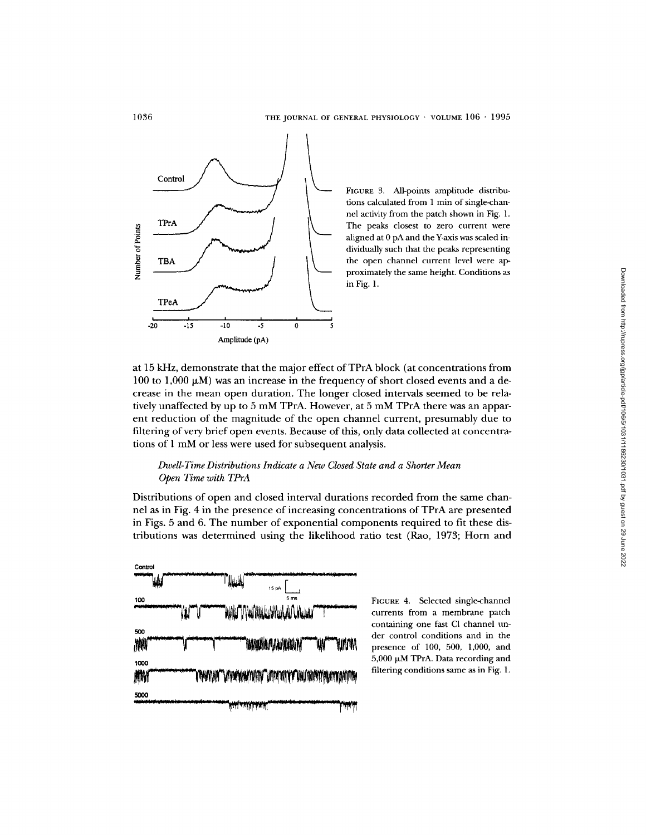

FIGURE 3. All-points amplitude distributions calculated from 1 min of single-channel activity from the patch shown in Fig. 1. The peaks closest to zero current were aligned at 0 pA and the Y-axis was scaled individually such that the peaks representing the open channel current level were approximately the same height. Conditions as in Fig. 1.

at 15 kHz, demonstrate that the major effect of TPrA block (at concentrations from 100 to 1,000  $\mu$ M) was an increase in the frequency of short closed events and a decrease in the mean open duration. The longer closed intervals seemed to be relatively unaffected by up to 5 mM TPrA. However, at 5 mM TPrA there was an apparent reduction of the magnitude of the open channel current, presumably due to filtering of very brief open events. Because of this, only data collected at concentrations of 1 mM or less were used for subsequent analysis.

# *Dzoell-Time Distributions Indicate a New Closed State and a Shorter Mean Open Time with TPrA*

Distributions of open and closed interval durations recorded from the same channel as in Fig. 4 in the presence of increasing concentrations of TPrA are presented in Figs. 5 and 6. The number of exponential components required to fit these distributions was determined using the likelihood ratio test (Rao, 1973; Horn and



FIGURE 4. Selected single-channel currents from a membrane patch containing one fast C1 channel under control conditions and in the presence of 100, 500, 1,000, and  $5,000 \mu M$  TPrA. Data recording and filtering conditions same as in Fig. 1.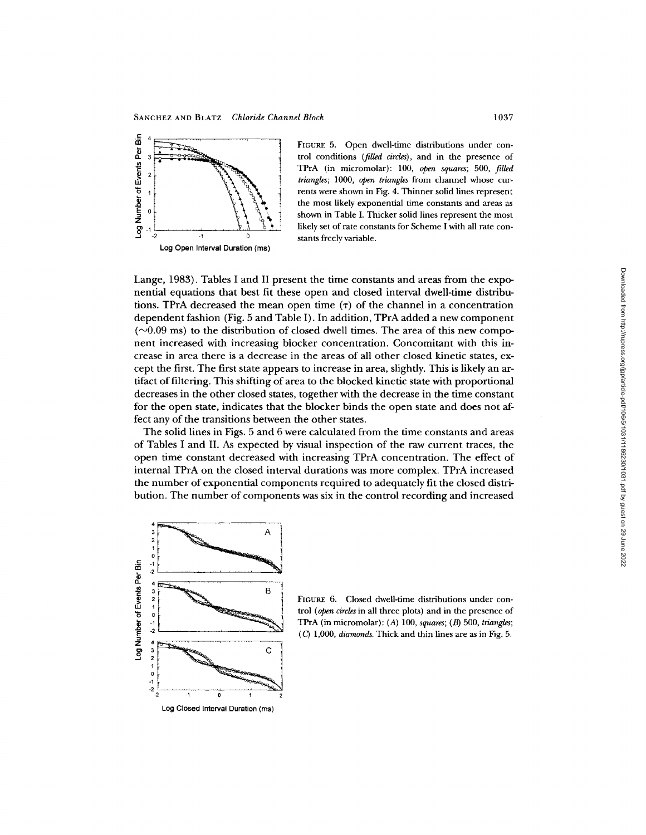

FIGURE 5. Open dwell-time distributions under control conditions *(filled circles),* and in the presence of TPrA (in micromolar): 100, open *squares;* 500, *filled triangles;* 1000, open *triangles* from channel whose currents were shown in Fig. 4. Thinner solid lines represent the most likely exponential time constants and areas as shown in Table I. Thicker solid lines represent the most likely set of rate constants for Scheme I with all rate constants freely variable.

Lange, 1983). Tables I and II present the time constants and areas from the exponential equations that best fit these open and closed interval dwell-time distributions. TPrA decreased the mean open time  $(7)$  of the channel in a concentration dependent fashion (Fig. 5 and Table I). In addition, TPrA added a new component  $(\sim 0.09 \text{ ms})$  to the distribution of closed dwell times. The area of this new component increased with increasing blocker concentration. Concomitant with this increase in area there is a decrease in the areas of all other closed kinetic states, except the first. The first state appears to increase in area, slightly. This is likely an artifact of filtering. This shifting of area to the blocked kinetic state with proportional decreases in the other closed states, together with the decrease in the time constant for the open state, indicates that the blocker binds the open state and does not affect any of the transitions between the other states.

The solid lines in Figs. 5 and 6 were calculated from the time constants and areas of Tables I and II. As expected by visual inspection of the raw current traces, the open time constant decreased with increasing TPrA concentration. The effect of internal TPrA on the closed interval durations was more complex. TPrA increased the number of exponential components required to adequately fit the closed distribution. The number of components was six in the control recording and increased



FIGURE 6. Closed dwell-time distributions under control (open *circles* in all three plots) and in the presence of TPrA (in micromolar): (A) 100, *squares; (B)* 500, *triangles;*  (C) 1,000, *diamonds.* Thick and thin lines are as in Fig. 5.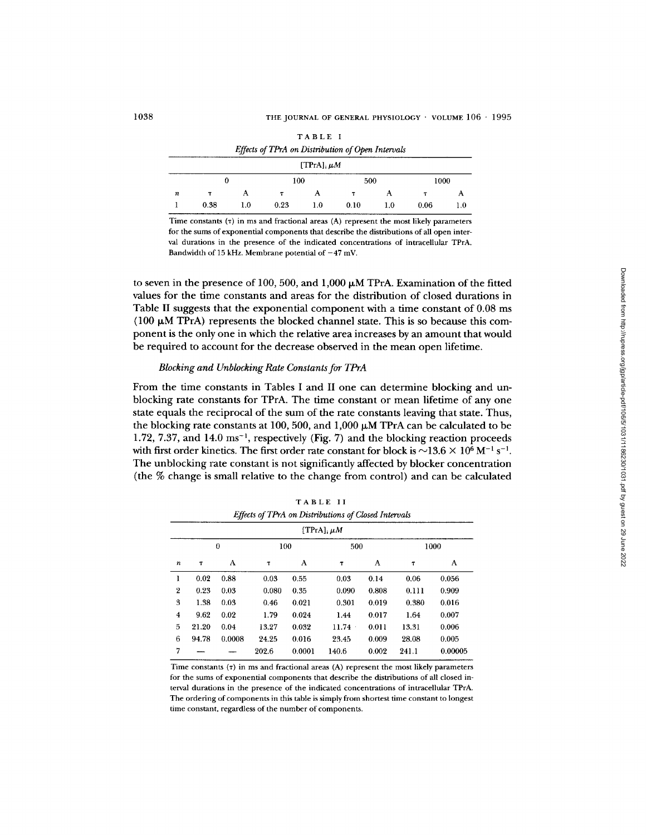|                                                   |      |     |      | TABLE I            |      |     |      |     |
|---------------------------------------------------|------|-----|------|--------------------|------|-----|------|-----|
| Effects of TPrA on Distribution of Open Intervals |      |     |      |                    |      |     |      |     |
|                                                   |      |     |      | $[TPrA]$ ; $\mu M$ |      |     |      |     |
| 100<br>500<br>1000<br>0                           |      |     |      |                    |      |     |      |     |
| $\boldsymbol{n}$                                  | т    | А   | Τ    | А                  | т    | А   | т    | А   |
|                                                   | 0.38 | 1.0 | 0.23 | 1.0                | 0.10 | 1.0 | 0.06 | 1.0 |

Time constants  $(τ)$  in ms and fractional areas  $(A)$  represent the most likely parameters for the sums of exponential components that describe the distributions of all open interval durations in the presence of the indicated concentrations of intracellular TPrA. Bandwidth of 15 kHz. Membrane potential of  $-47$  mV.

to seven in the presence of 100, 500, and 1,000  $\mu$ M TPrA. Examination of the fitted values for the time constants and areas for the distribution of closed durations in Table II suggests that the exponential component with a time constant of 0.08 ms (100  $\mu$ M TPrA) represents the blocked channel state. This is so because this component is the only one in which the relative area increases by an amount that would be required to account for the decrease observed in the mean open lifetime.

### *Blocking and Unblocking Rate Constants for TPrA*

From the time constants in Tables I and II one can determine blocking and unblocking rate constants for TPrA. The time constant or mean lifetime of any one state equals the reciprocal of the sum of the rate constants leaving that state. Thus, the blocking rate constants at 100, 500, and 1,000  $\mu$ M TPrA can be calculated to be 1.72, 7.37, and 14.0  $\text{ms}^{-1}$ , respectively (Fig. 7) and the blocking reaction proceeds with first order kinetics. The first order rate constant for block is  $\sim$ 13.6  $\times$  10<sup>6</sup> M<sup>-1</sup> s<sup>-1</sup>. The unblocking rate constant is not significantly affected by blocker concentration (the % change is small relative to the change from control) and can be calculated

| I A B L E - I I                                      |       |        |        |       |        |       |       |       |  |
|------------------------------------------------------|-------|--------|--------|-------|--------|-------|-------|-------|--|
| Effects of TPrA on Distributions of Closed Intervals |       |        |        |       |        |       |       |       |  |
| [TPrA], $\mu$ M                                      |       |        |        |       |        |       |       |       |  |
| $\bf{0}$<br>100<br>500<br>1000                       |       |        |        |       |        |       |       |       |  |
| $\boldsymbol{n}$                                     | T     | A      | $\tau$ | А     | $\tau$ | A     | T     | A     |  |
| ı                                                    | 0.02  | 0.88   | 0.03   | 0.55  | 0.03   | 0.14  | 0.06  | 0.056 |  |
| $\boldsymbol{2}$                                     | 0.23  | 0.03   | 0.080  | 0.35  | 0.090  | 0.808 | 0.111 | 0.909 |  |
| 3                                                    | 1.38  | 0.03   | 0.46   | 0.021 | 0.301  | 0.019 | 0.380 | 0.016 |  |
| $\overline{4}$                                       | 9.62  | 0.02   | 1.79   | 0.024 | 1.44   | 0.017 | 1.64  | 0.007 |  |
| 5                                                    | 21.20 | 0.04   | 13.27  | 0.032 | 11.74  | 0.011 | 13.31 | 0.006 |  |
| 6                                                    | 94.78 | 0.0008 | 24.25  | 0.016 | 23.45  | 0.009 | 28.08 | 0.005 |  |

TABLE II

Time constants  $(7)$  in ms and fractional areas  $(A)$  represent the most likely parameters for the sums of exponential components that describe the distributions of all closed interval durations in the presence of the indicated concentrations of intracellular TPrA. The ordering of components in this table is simply from shortest time constant to longest time constant, regardless of the number of components.

 $7 \quad - \quad - \quad 202.6 \quad 0.0001 \quad 140.6 \quad 0.002 \quad 241.1 \quad 0.00005$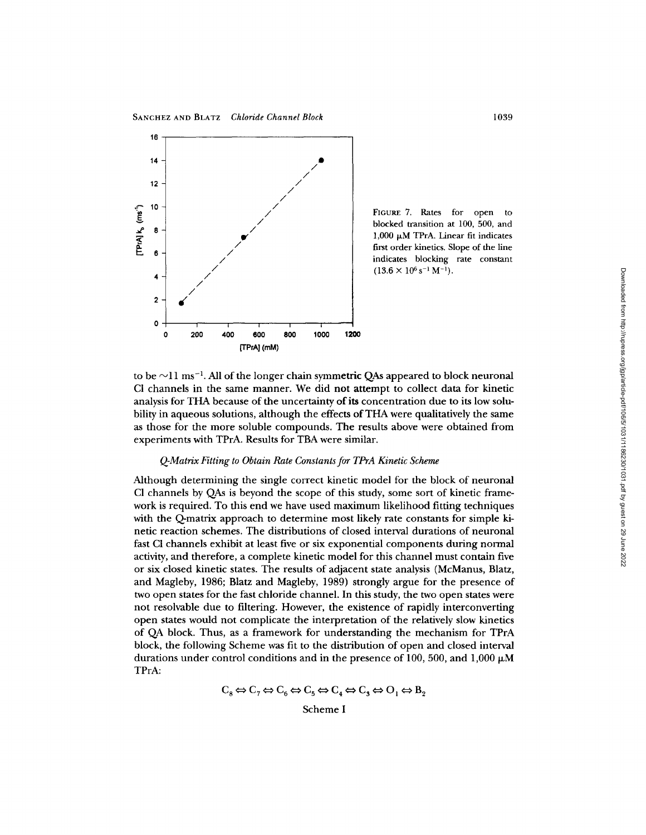SANCHEZ AND BLATZ *Chloride Channel Block* 1039



FIGURE 7. Rates for open to blocked transition at 100, 500, and  $1,000 \mu M$  TPrA. Linear fit indicates first order kinetics. Slope of the line indicates blocking rate constant  $(13.6 \times 10^6 \text{ s}^{-1} \text{ M}^{-1}).$ 

to be  $\sim$ 11 ms<sup>-1</sup>. All of the longer chain symmetric QAs appeared to block neuronal CI channels in the same manner. We did not attempt to collect data for kinetic analysis for THA because of the uncertainty of its concentration due to its low solubility in aqueous solutions, although the effects of THA were qualitatively the same as those for the more soluble compounds. The results above were obtained from experiments with TPrA. Results for TBA were similar.

# *Q-Matrix Fitting to Obtain Rate Constants for TPrA Kinetic Scheme*

Although determining the single correct kinetic model for the block of neuronal C1 channels by QAs is beyond the scope of this study, some sort of kinetic framework is required. To this end we have used maximum likelihood fitting techniques with the Q-matrix approach to determine most likely rate constants for simple kinetic reaction schemes. The distributions of closed interval durations of neuronal fast CI channels exhibit at least five or six exponential components during normal activity, and therefore, a complete kinetic model for this channel must contain five or six closed kinetic states. The results of adjacent state analysis (McManus, Blatz, and Magleby, 1986; Blatz and Magleby, 1989) strongly argue for the presence of two open states for the fast chloride channel. In this study, the two open states were not resolvable due to filtering. However, the existence of rapidly interconverting open states would not complicate the interpretation of the relatively slow kinetics of QA block. Thus, as a framework for understanding the mechanism for TPrA block, the following Scheme was fit to the distribution of open and closed interval durations under control conditions and in the presence of 100, 500, and 1,000  $\mu$ M TPrA:

$$
C_8 \Leftrightarrow C_7 \Leftrightarrow C_6 \Leftrightarrow C_5 \Leftrightarrow C_4 \Leftrightarrow C_3 \Leftrightarrow O_1 \Leftrightarrow B_2
$$

Scheme I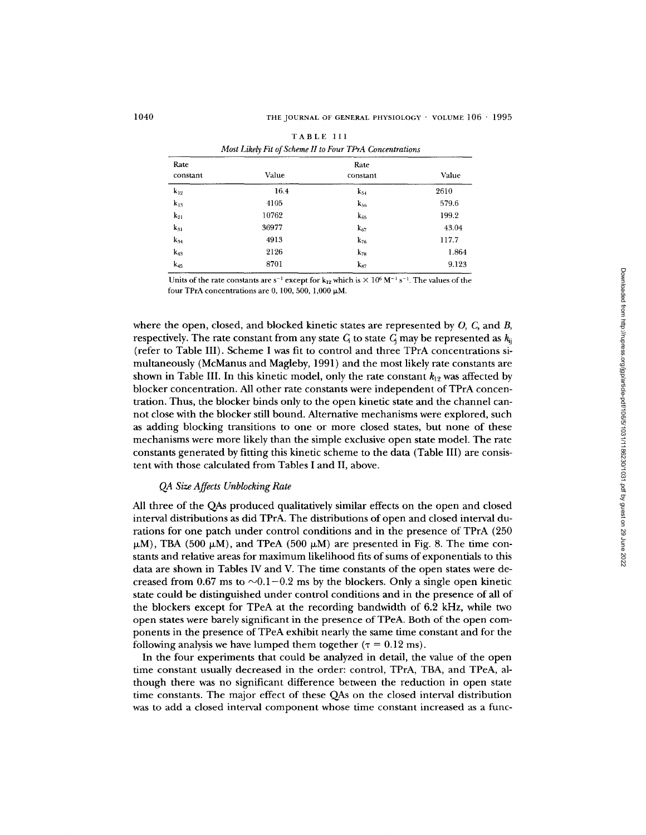| Most Likely Fit of Scheme II to Four TPrA Concentrations |       |                  |       |  |  |  |
|----------------------------------------------------------|-------|------------------|-------|--|--|--|
| Rate<br>constant                                         | Value | Rate<br>constant | Value |  |  |  |
| $k_{12}$                                                 | 16.4  | $k_{54}$         | 2610  |  |  |  |
| $k_{13}$                                                 | 4105  | $k_{56}$         | 579.6 |  |  |  |
| $k_{21}$                                                 | 10762 | $k_{65}$         | 199.2 |  |  |  |
| $k_{31}$                                                 | 36977 | $k_{67}$         | 43.04 |  |  |  |
| $k_{34}$                                                 | 4913  | $k_{76}$         | 117.7 |  |  |  |
| $k_{43}$                                                 | 2126  | $k_{78}$         | 1.864 |  |  |  |
| $k_{45}$                                                 | 8701  | $k_{87}$         | 9.123 |  |  |  |

TABLE III

Units of the rate constants are s<sup>-1</sup> except for k<sub>12</sub> which is  $\times$  10<sup>6</sup> M<sup>-1</sup> s<sup>-1</sup>. The values of the four TPrA concentrations are 0, 100, 500, 1,000  $\mu$ M.

where the open, closed, and blocked kinetic states are represented by  $O$ ,  $C$ , and  $B$ , respectively. The rate constant from any state  $C_i$  to state  $C_i$  may be represented as  $k_{ij}$ (refer to Table III). Scheme I was fit to control and three TPrA concentrations simultaneously (McManus and Magleby, 1991) and the most likely rate constants are shown in Table III. In this kinetic model, only the rate constant  $k_{12}$  was affected by blocker concentration. All other rate constants were independent of TPrA concentration. Thus, the blocker binds only to the open kinetic state and the channel cannot close with the blocker still bound. Alternative mechanisms were explored, such as adding blocking transitions to one or more closed states, but none of these mechanisms were more likely than the simple exclusive open state model. The rate constants generated by fitting this kinetic scheme to the data (Table III) are consistent with those calculated from Tables I and II, above.

# *QA Size Affects Unblocking Rate*

All three of the QAs produced qualitatively similar effects on the open and closed interval distributions as did TPrA. The distributions of open and closed interval durations for one patch under control conditions and in the presence of TPrA (250  $\mu$ M), TBA (500  $\mu$ M), and TPeA (500  $\mu$ M) are presented in Fig. 8. The time constants and relative areas for maximum likelihood fits of sums of exponentials to this data are shown in Tables IV and V. The time constants of the open states were decreased from 0.67 ms to  $\sim 0.1-0.2$  ms by the blockers. Only a single open kinetic state could be distinguished under control conditions and in the presence of all of the blockers except for TPeA at the recording bandwidth of 6.2 kHz, while two open states were barely significant in the presence of TPeA. Both of the open components in the presence of TPeA exhibit nearly the same time constant and for the following analysis we have lumped them together ( $\tau = 0.12$  ms).

In the four experiments that could be analyzed in detail, the value of the open time constant usually decreased in the order: control, TPrA, TBA, and TPeA, although there was no significant difference between the reduction in open state time constants. The major effect of these QAs on the closed interval distribution was to add a closed interval component whose time constant increased as a func-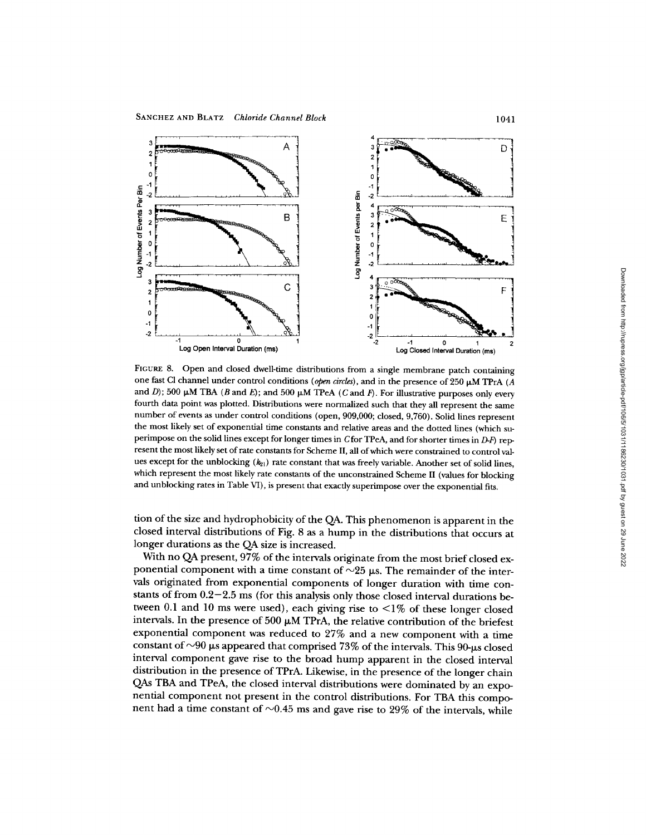

FIGURE 8. Open and closed dwell-time distributions from a single membrane patch containing one fast Cl channel under control conditions (open circles), and in the presence of 250  $\mu$ M TPrA (A and D); 500  $\mu$ M TBA (B and E); and 500  $\mu$ M TPeA (C and F). For illustrative purposes only every fourth data point was plotted. Distributions were normalized such that they all represent the same number of events as under control conditions (open, 909,000; closed, 9,760). Solid lines represent the most likely set of exponential time constants and relative areas and the dotted lines (which superimpose on the solid lines except for longer times in  $C$  for TPeA, and for shorter times in  $D-F$ ) represent the most likely set of rate constants for Scheme II, all of which were constrained to control values except for the unblocking  $(k_{21})$  rate constant that was freely variable. Another set of solid lines, which represent the most likely rate constants of the unconstrained Scheme II (values for blocking and unblocking rates in Table VI), is present that exactly superimpose over the exponential fits.

tion of the size and hydrophobicity of the QA. This phenomenon is apparent in the closed interval distributions of Fig. 8 as a hump in the distributions that occurs at longer durations as the QA size is increased.

With no QA present, 97% of the intervals originate from the most brief closed exponential component with a time constant of  $\sim$ 25  $\mu$ s. The remainder of the intervals originated from exponential components of longer duration with time constants of from 0.2-2.5 ms (for this analysis only those closed interval durations between 0.1 and 10 ms were used), each giving rise to  $\leq$ 1% of these longer closed intervals. In the presence of 500  $\mu$ M TPrA, the relative contribution of the briefest exponential component was reduced to 27% and a new component with a time constant of  $\sim$ 90  $\mu$ s appeared that comprised 73% of the intervals. This 90- $\mu$ s closed interval component gave rise to the broad hump apparent in the closed interval distribution in the presence of TPrA. Likewise, in the presence of the longer chain QAs TBA and TPeA, the closed interval distributions were dominated by an exponential component not present in the control distributions. For TBA this component had a time constant of  $\sim 0.45$  ms and gave rise to 29% of the intervals, while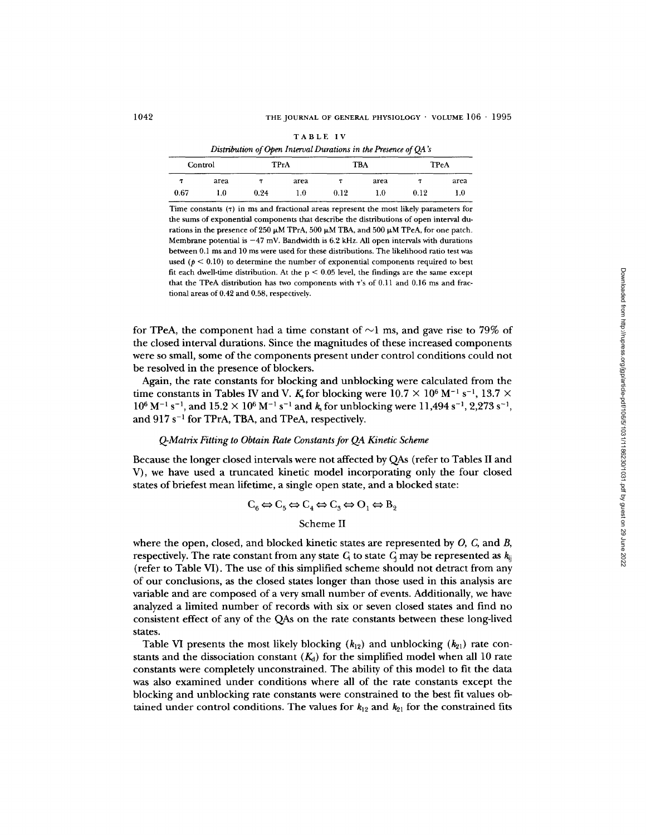| <b>TABLE IV</b>                                                 |  |
|-----------------------------------------------------------------|--|
| Distribution of Open Interval Durations in the Presence of QA's |  |

| Control |      |      | <b>TPrA</b> | <b>TBA</b> |      | TPeA |      |
|---------|------|------|-------------|------------|------|------|------|
|         | area |      | area        |            | area |      | area |
| 0.67    | 1.0  | 0.24 | 1.0         | 0.12       | 1.0  | 0.12 | 1.0  |

Time constants  $(7)$  in ms and fractional areas represent the most likely parameters for the sums of exponential components that describe the distributions of open interval durations in the presence of 250  $\mu$ M TPrA, 500  $\mu$ M TBA, and 500  $\mu$ M TPeA, for one patch. Membrane potential is  $-47$  mV. Bandwidth is 6.2 kHz. All open intervals with durations between 0.1 ms and 10 ms were used for these distributions. The likelihood ratio test was used ( $p < 0.10$ ) to determine the number of exponential components required to best fit each dwell-time distribution. At the  $p < 0.05$  level, the findings are the same except that the TPeA distribution has two components with "r's of 0.11 and 0.16 ms and fractional areas of 0.42 and 0.58, respectively.

for TPeA, the component had a time constant of  $\sim$ 1 ms, and gave rise to 79% of the closed interval durations. Since the magnitudes of these increased components were so small, some of the components present under control conditions could not be resolved in the presence of blockers.

Again, the rate constants for blocking and unblocking were calculated from the time constants in Tables IV and V. K for blocking were  $10.7 \times 10^6$  M<sup>-1</sup> s<sup>-1</sup>, 13.7  $\times$  $10^6$  M<sup>-1</sup> s<sup>-1</sup>, and  $15.2 \times 10^6$  M<sup>-1</sup> s<sup>-1</sup> and k<sub>s</sub> for unblocking were 11,494 s<sup>-1</sup>, 2,273 s<sup>-1</sup>, and  $917 s^{-1}$  for TPrA, TBA, and TPeA, respectively.

## *Q-Matrix Fitting to Obtain Rate Constants for QA Kinetic Scheme*

Because the longer closed intervals were not affected by QAs (refer to Tables II and V), we have used a truncated kinetic model incorporating only the four closed states of briefest mean lifetime, a single open state, and a blocked state:

 $C_6 \Leftrightarrow C_5 \Leftrightarrow C_4 \Leftrightarrow C_3 \Leftrightarrow O_1 \Leftrightarrow B_2$ 

# Scheme II

where the open, closed, and blocked kinetic states are represented by  $O$ ,  $C$ , and  $B$ , respectively. The rate constant from any state  $G_i$  to state  $G_i$  may be represented as  $k_{ij}$ (refer to Table VI). The use of this simplified scheme should not detract from any of our conclusions, as the closed states longer than those used in this analysis are variable and are composed of a very small number of events. Additionally, we have analyzed a limited number of records with six or seven closed states and find no consistent effect of any of the QAs on the rate constants between these long-lived states.

Table VI presents the most likely blocking  $(k_{12})$  and unblocking  $(k_{21})$  rate constants and the dissociation constant  $(K_d)$  for the simplified model when all 10 rate constants were completely unconstrained. The ability of this model to fit the data was also examined under conditions where all of the rate constants except the blocking and unblocking rate constants were constrained to the best fit values obtained under control conditions. The values for  $k_{12}$  and  $k_{21}$  for the constrained fits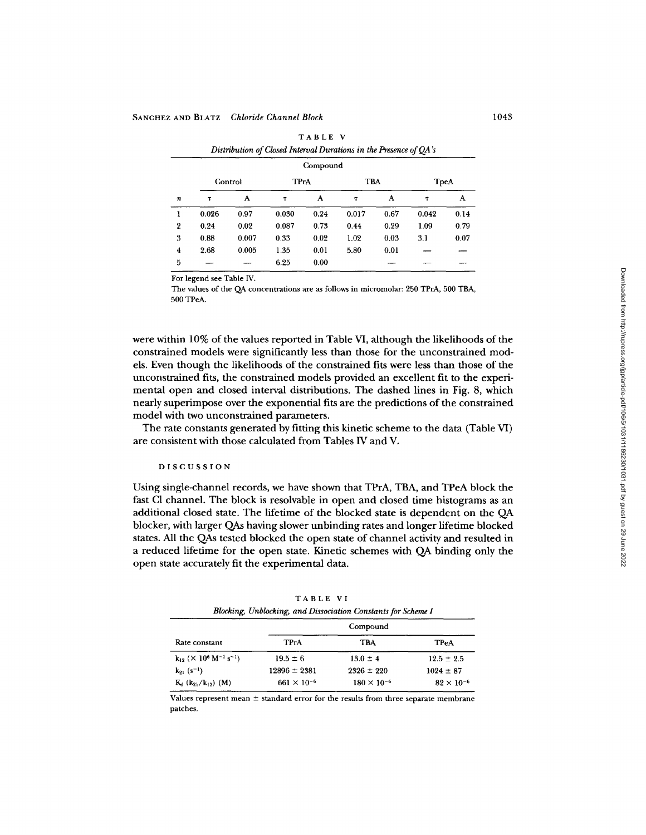| Compound                |         |       |             |      |            |      |              |      |
|-------------------------|---------|-------|-------------|------|------------|------|--------------|------|
|                         | Control |       | <b>TPrA</b> |      | <b>TBA</b> |      | <b>T</b> peA |      |
| $\boldsymbol{n}$        | $\tau$  | A     | T           | А    | $\tau$     | A    | T            | A    |
| 1                       | 0.026   | 0.97  | 0.030       | 0.24 | 0.017      | 0.67 | 0.042        | 0.14 |
| $\boldsymbol{2}$        | 0.24    | 0.02  | 0.087       | 0.73 | 0.44       | 0.29 | 1.09         | 0.79 |
| 3                       | 0.88    | 0.007 | 0.33        | 0.02 | 1.02       | 0.03 | 3.1          | 0.07 |
| $\overline{\mathbf{4}}$ | 2.68    | 0.005 | 1.35        | 0.01 | 5.80       | 0.01 |              |      |
| 5                       |         |       | 6.25        | 0.00 |            |      |              |      |

| TABLE V                                                           |
|-------------------------------------------------------------------|
| Distribution of Closed Interval Durations in the Presence of QA's |

For legend see Table IV.

The values of the QA concentrations are as follows in micromolar: 250 TPrA, 500 TBA, 500 TPeA.

were within 10% of the values reported in Table VI, although the likelihoods of the constrained models were significantly less than those for the unconstrained models. Even though the likelihoods of the constrained fits were less than those of the unconstrained fits, the constrained models provided an excellent fit to the experimental open and closed interval distributions. The dashed lines in Fig. 8, which nearly superimpose over the exponential fits are the predictions of the constrained model with two unconstrained parameters.

The rate constants generated by fitting this kinetic scheme to the data (Table VI) are consistent with those calculated from Tables IV and V.

### DISCUSSION

Using single-channel records, we have shown that TPrA, TBA, and TPeA block the fast C1 channel. The block is resolvable in open and closed time histograms as an additional closed state. The lifetime of the blocked state is dependent on the QA blocker, with larger QAs having slower unbinding rates and longer lifetime blocked states. All the QAs tested blocked the open state of channel activity and resulted in a reduced lifetime for the open state. Kinetic schemes with QA binding only the open state accurately fit the experimental data.

| Blocking, Unblocking, and Dissociation Constants for Scheme I         |                      |                      |                     |  |  |  |  |  |
|-----------------------------------------------------------------------|----------------------|----------------------|---------------------|--|--|--|--|--|
|                                                                       |                      | Compound             |                     |  |  |  |  |  |
| Rate constant                                                         | <b>TPrA</b>          | TBA                  | <b>TPeA</b>         |  |  |  |  |  |
| $k_{12}$ ( $\times$ 10 <sup>6</sup> M <sup>-1</sup> s <sup>-1</sup> ) | $19.5 \pm 6$         | $13.0 \pm 4$         | $12.5 \pm 2.5$      |  |  |  |  |  |
| $k_{21}$ (s <sup>-1</sup> )                                           | $12896 \pm 2381$     | $2326 \pm 220$       | $1024 \pm 87$       |  |  |  |  |  |
| $K_d$ ( $k_{21}/k_{12}$ ) (M)                                         | $661 \times 10^{-6}$ | $180 \times 10^{-6}$ | $82 \times 10^{-6}$ |  |  |  |  |  |

TABLE VI

Values represent mean  $\pm$  standard error for the results from three separate membrane patches.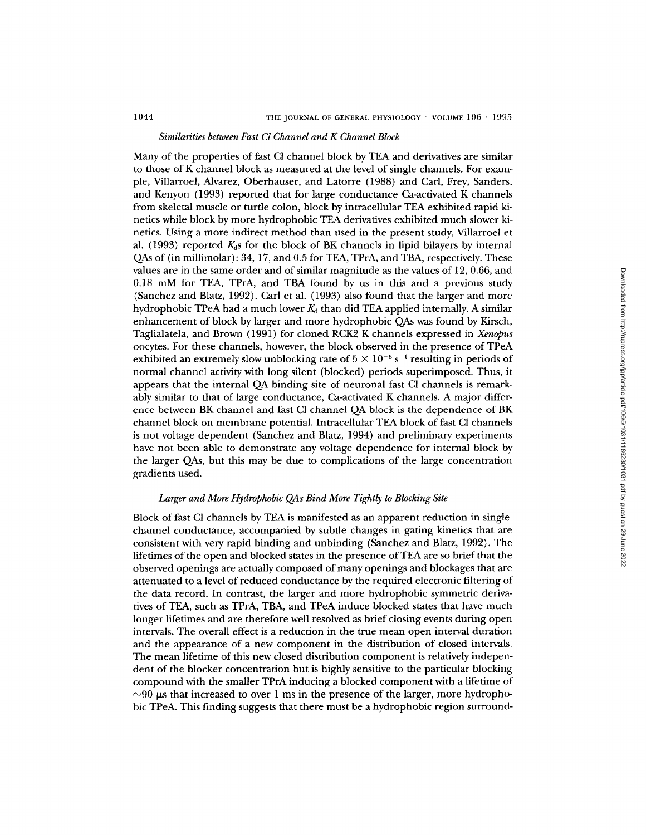# *Similarities between Fast Cl Channel and K Channel Block*

Many of the properties of fast C1 channel block by TEA and derivatives are similar to those of K channel block as measured at the level of single channels. For example, Villarroel, Alvarez, Oberhauser, and Latorre (1988) and Carl, Frey, Sanders, and Kenyon (1993) reported that for large conductance Ca-activated K channels from skeletal muscle or turtle colon, block by intracellular TEA exhibited rapid kinetics while block by more hydrophobic TEA derivatives exhibited much slower kinetics. Using a more indirect method than used in the present study, Villarroel et al. (1993) reported  $K<sub>d</sub>$ s for the block of BK channels in lipid bilayers by internal QAs of (in millimolar): 34, 17, and 0.5 for TEA, TPrA, and TBA, respectively. These values are in the same order and of similar magnitude as the values of 12, 0.66, and 0.18 mM for TEA, TPrA, and TBA found by us in this and a previous study (Sanchez and Blatz, 1992). Carl et al. (1993) also found that the larger and more hydrophobic TPeA had a much lower  $K_d$  than did TEA applied internally. A similar enhancement of block by larger and more hydrophobic QAs was found by Kirsch, Taglialatela, and Brown (1991) for cloned RCK2 K channels expressed in *Xenopus*  oocytes. For these channels, however, the block observed in the presence of TPeA exhibited an extremely slow unblocking rate of  $5 \times 10^{-6}$  s<sup>-1</sup> resulting in periods of normal channel activity with long silent (blocked) periods superimposed. Thus, it appears that the internal QA binding site of neuronal fast C1 channels is remarkably similar to that of large conductance, Ca-activated K channels. A major difference between BK channel and fast C1 channel QA block is the dependence of BK channel block on membrane potential. Intracellular TEA block of fast C1 channels is not voltage dependent (Sanchez and Blatz, 1994) and preliminary experiments have not been able to demonstrate any voltage dependence for internal block by the larger QAs, but this may be due to complications of the large concentration gradients used.

## *Larger and More Hydrophobic QAs Bind More Tightly to Blocking Site*

Block of fast CI channels by TEA is manifested as an apparent reduction in singlechannel conductance, accompanied by subtle changes in gating kinetics that are consistent with very rapid binding and unbinding (Sanchez and Blatz, 1992). The lifetimes of the open and blocked states in the presence of TEA are so brief that the observed openings are actually composed of many openings and blockages that are attenuated to a level of reduced conductance by the required electronic filtering of the data record. In contrast, the larger and more hydrophobic symmetric derivatives of TEA, such as TPrA, TBA, and TPeA induce blocked states that have much longer lifetimes and are therefore well resolved as brief closing events during open intervals. The overall effect is a reduction in the true mean open interval duration and the appearance of a new component in the distribution of closed intervals. The mean lifetime of this new closed distribution component is relatively independent of the blocker concentration but is highly sensitive to the particular blocking compound with the smaller TPrA inducing a blocked component with a lifetime of  $\sim$ 90  $\mu$ s that increased to over 1 ms in the presence of the larger, more hydrophobic TPeA. This finding suggests that there must be a hydrophobic region surround-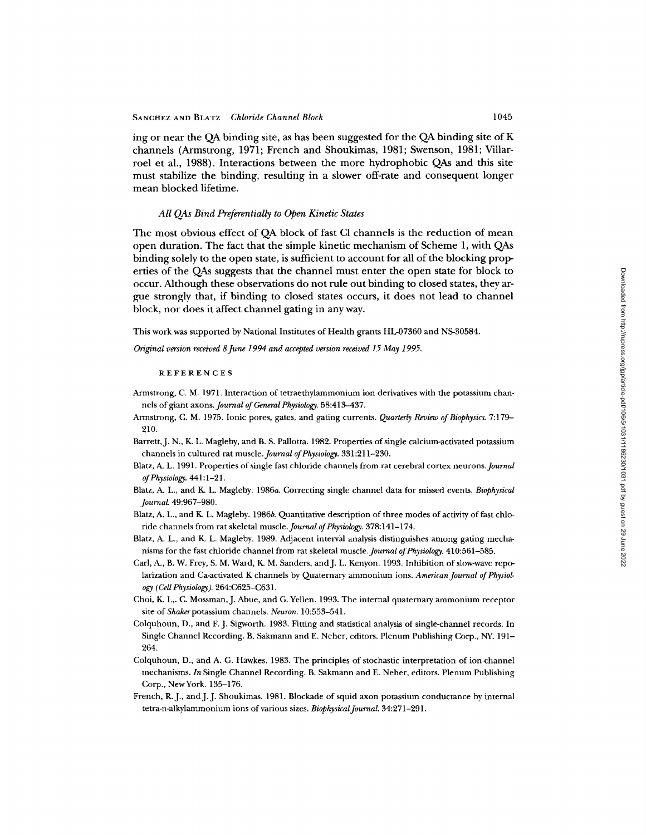ing or near the QA binding site, as has been suggested for the QA binding site of K channels (Armstrong, 1971; French and Shoukimas, 1981; Swenson, 1981; Villarroel et al., 1988). Interactions between the more hydrophobic QAs and this site must stabilize the binding, resulting in a slower off-rate and consequent longer mean blocked lifetime.

### *All QAs Bind Preferentially to Open Kinetic States*

The most obvious effect of QA block of fast CI channels is the reduction of mean open duration. The fact that the simple kinetic mechanism of Scheme 1, with QAs binding solely to the open state, is sufficient to account for all of the blocking properties of the QAs suggests that the channel must enter the open state for block to occur. Although these observations do not rule out binding to closed states, they argue strongly that, if binding to closed states occurs, it does not lead to channel block, nor does it affect channel gating in any way.

This work was supported by National Institutes of Health grants HL-07360 and NS-30584.

*Original version received 8June 1994 and accepted version received 15 May 1995.* 

#### **REFERENCES**

- Armstrong, C. M. 1971. Interaction of tetraethylammonium ion derivatives with the potassium channels of giant axons. *Journal of General Physiology.* 58:413-437.
- Armstrong, C. M. 1975. Ionic pores, gates, and gating currents. *Quarterly Review of Biophysics.* 7:179- 210.
- Barrett, J. N., K. L. Magleby, and B. S. Pallotta. 1982. Properties of single calcium-activated potassium channels in cultured rat *muscle.Journal of Physiology.* 331:211-230.
- Blatz, A. L. 1991. Properties of single fast chloride channels from rat cerebral cortex *neurons.Journal of Physiology.* 441:1-21.
- Blatz, A. L., and K. L. Magleby. 1986a. Correcting single channel data for missed events. *Biophysical Journal* 49:967-980.
- Blatz, A. L., and K. L. Magleby. 1986b. Quantitative description of three modes of activity of fast chloride channels from rat skeletal *muscle.Journal of Physiology.* 378:141-174.
- Blatz, A. L., and K. L. Magleby. 1989. Adjacent interval analysis distinguishes among gating mechanisms for the fast chloride channel from rat skeletal *muscle.Journal of Physiology.* 410:561-585.
- Carl, A., B. W. Frey, S. M. Ward, K. M. Sanders, and J. L. Kenyon. 1993. Inhibition of slow-wave repolarization and Ca-activated K channels by Quaternary ammonium ions. *American Journal of Physiology (Cell Physiology).* 264:C625--C631.
- Choi, K. L,. C. Mossman,J. Abne, and G. Yellen. 1993. The internal quaternary ammonium receptor site of *Shakerpotassium* channels. *Neuron.* 10:553-541.
- Colquhoun, D., and F. J. Sigworth. 1983. Fitting and statistical analysis of single-channel records. In Single Channel Recording. B. Sakmann and E. Neher, editors. Plenum Publishing Corp., NY. 191- 264,
- Colquhoun, D., and A. G. Hawkes. 1983. The principles of stochastic interpretation of ion-channel mechanisms. *In* Single Channel Recording. B. Sakmann and E. Neher, editors. Plenum Publishing Corp., NewYork. 135-176.
- French, R.J., and J. J. Shoukimas. 1981. Blockade of squid axon potassium conductance by internal tetra-n-alkylammonium ions of various sizes. *Biophysical Journal.* 34:271-291.